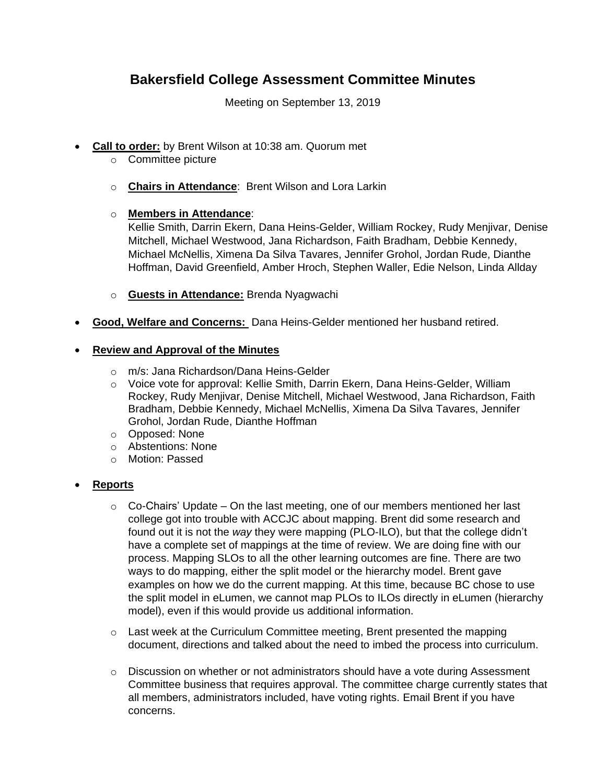# **Bakersfield College Assessment Committee Minutes**

Meeting on September 13, 2019

- **Call to order:** by Brent Wilson at 10:38 am. Quorum met
	- o Committee picture
	- o **Chairs in Attendance**: Brent Wilson and Lora Larkin
	- o **Members in Attendance**:

Kellie Smith, Darrin Ekern, Dana Heins-Gelder, William Rockey, Rudy Menjivar, Denise Mitchell, Michael Westwood, Jana Richardson, Faith Bradham, Debbie Kennedy, Michael McNellis, Ximena Da Silva Tavares, Jennifer Grohol, Jordan Rude, Dianthe Hoffman, David Greenfield, Amber Hroch, Stephen Waller, Edie Nelson, Linda Allday

- o **Guests in Attendance:** Brenda Nyagwachi
- **Good, Welfare and Concerns:** Dana Heins-Gelder mentioned her husband retired.

## **Review and Approval of the Minutes**

- o m/s: Jana Richardson/Dana Heins-Gelder
- o Voice vote for approval: Kellie Smith, Darrin Ekern, Dana Heins-Gelder, William Rockey, Rudy Menjivar, Denise Mitchell, Michael Westwood, Jana Richardson, Faith Bradham, Debbie Kennedy, Michael McNellis, Ximena Da Silva Tavares, Jennifer Grohol, Jordan Rude, Dianthe Hoffman
- o Opposed: None
- o Abstentions: None
- o Motion: Passed

## **Reports**

- $\circ$  Co-Chairs' Update On the last meeting, one of our members mentioned her last college got into trouble with ACCJC about mapping. Brent did some research and found out it is not the *way* they were mapping (PLO-ILO), but that the college didn't have a complete set of mappings at the time of review. We are doing fine with our process. Mapping SLOs to all the other learning outcomes are fine. There are two ways to do mapping, either the split model or the hierarchy model. Brent gave examples on how we do the current mapping. At this time, because BC chose to use the split model in eLumen, we cannot map PLOs to ILOs directly in eLumen (hierarchy model), even if this would provide us additional information.
- $\circ$  Last week at the Curriculum Committee meeting, Brent presented the mapping document, directions and talked about the need to imbed the process into curriculum.
- $\circ$  Discussion on whether or not administrators should have a vote during Assessment Committee business that requires approval. The committee charge currently states that all members, administrators included, have voting rights. Email Brent if you have concerns.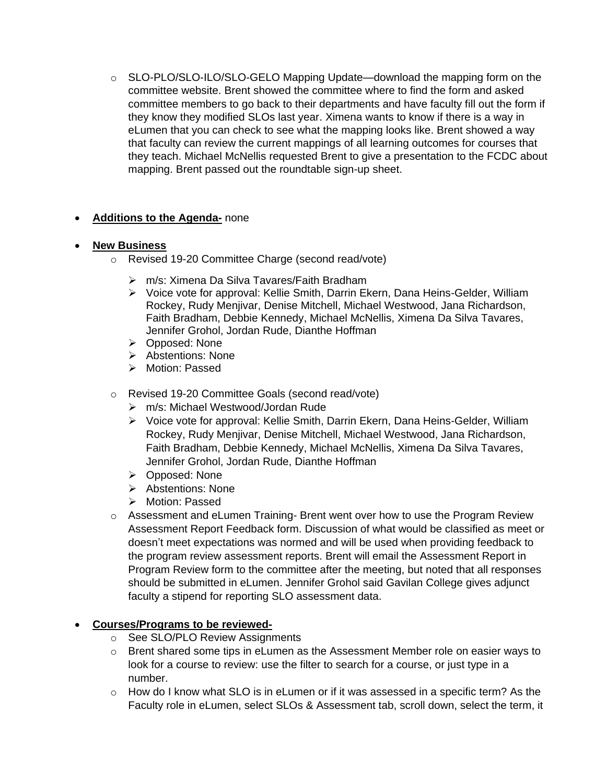$\circ$  SLO-PLO/SLO-ILO/SLO-GELO Mapping Update—download the mapping form on the committee website. Brent showed the committee where to find the form and asked committee members to go back to their departments and have faculty fill out the form if they know they modified SLOs last year. Ximena wants to know if there is a way in eLumen that you can check to see what the mapping looks like. Brent showed a way that faculty can review the current mappings of all learning outcomes for courses that they teach. Michael McNellis requested Brent to give a presentation to the FCDC about mapping. Brent passed out the roundtable sign-up sheet.

## **Additions to the Agenda-** none

#### **New Business**

- Revised 19-20 Committee Charge (second read/vote)
	- m/s: Ximena Da Silva Tavares/Faith Bradham
	- Voice vote for approval: Kellie Smith, Darrin Ekern, Dana Heins-Gelder, William Rockey, Rudy Menjivar, Denise Mitchell, Michael Westwood, Jana Richardson, Faith Bradham, Debbie Kennedy, Michael McNellis, Ximena Da Silva Tavares, Jennifer Grohol, Jordan Rude, Dianthe Hoffman
	- Opposed: None
	- > Abstentions: None
	- > Motion: Passed
- o Revised 19-20 Committee Goals (second read/vote)
	- m/s: Michael Westwood/Jordan Rude
	- Voice vote for approval: Kellie Smith, Darrin Ekern, Dana Heins-Gelder, William Rockey, Rudy Menjivar, Denise Mitchell, Michael Westwood, Jana Richardson, Faith Bradham, Debbie Kennedy, Michael McNellis, Ximena Da Silva Tavares, Jennifer Grohol, Jordan Rude, Dianthe Hoffman
	- Opposed: None
	- $\triangleright$  Abstentions: None
	- > Motion: Passed
- $\circ$  Assessment and eLumen Training- Brent went over how to use the Program Review Assessment Report Feedback form. Discussion of what would be classified as meet or doesn't meet expectations was normed and will be used when providing feedback to the program review assessment reports. Brent will email the Assessment Report in Program Review form to the committee after the meeting, but noted that all responses should be submitted in eLumen. Jennifer Grohol said Gavilan College gives adjunct faculty a stipend for reporting SLO assessment data.

#### **Courses/Programs to be reviewed-**

- o See SLO/PLO Review Assignments
- $\circ$  Brent shared some tips in eLumen as the Assessment Member role on easier ways to look for a course to review: use the filter to search for a course, or just type in a number.
- $\circ$  How do I know what SLO is in eLumen or if it was assessed in a specific term? As the Faculty role in eLumen, select SLOs & Assessment tab, scroll down, select the term, it